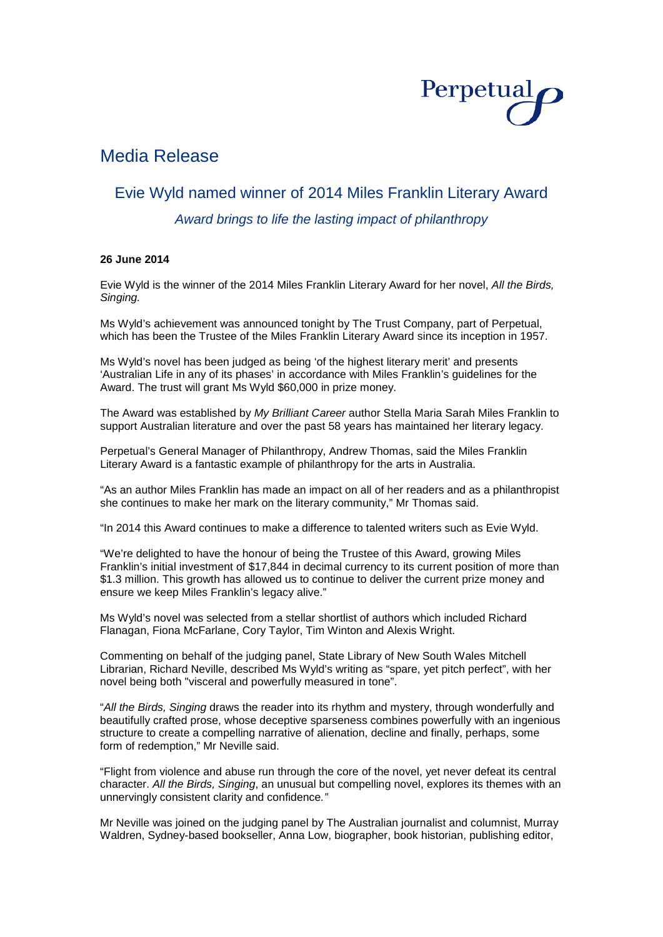

# Media Release

## Evie Wyld named winner of 2014 Miles Franklin Literary Award

*Award brings to life the lasting impact of philanthropy*

### **26 June 2014**

Evie Wyld is the winner of the 2014 Miles Franklin Literary Award for her novel, *All the Birds, Singing.*

Ms Wyld's achievement was announced tonight by The Trust Company, part of Perpetual, which has been the Trustee of the Miles Franklin Literary Award since its inception in 1957.

Ms Wyld's novel has been judged as being 'of the highest literary merit' and presents 'Australian Life in any of its phases' in accordance with Miles Franklin's guidelines for the Award. The trust will grant Ms Wyld \$60,000 in prize money.

The Award was established by *My Brilliant Career* author Stella Maria Sarah Miles Franklin to support Australian literature and over the past 58 years has maintained her literary legacy.

Perpetual's General Manager of Philanthropy, Andrew Thomas, said the Miles Franklin Literary Award is a fantastic example of philanthropy for the arts in Australia.

"As an author Miles Franklin has made an impact on all of her readers and as a philanthropist she continues to make her mark on the literary community," Mr Thomas said.

"In 2014 this Award continues to make a difference to talented writers such as Evie Wyld.

"We're delighted to have the honour of being the Trustee of this Award, growing Miles Franklin's initial investment of \$17,844 in decimal currency to its current position of more than \$1.3 million. This growth has allowed us to continue to deliver the current prize money and ensure we keep Miles Franklin's legacy alive."

Ms Wyld's novel was selected from a stellar shortlist of authors which included Richard Flanagan, Fiona McFarlane, Cory Taylor, Tim Winton and Alexis Wright.

Commenting on behalf of the judging panel, State Library of New South Wales Mitchell Librarian, Richard Neville, described Ms Wyld's writing as "spare, yet pitch perfect", with her novel being both "visceral and powerfully measured in tone".

"*All the Birds, Singing* draws the reader into its rhythm and mystery, through wonderfully and beautifully crafted prose, whose deceptive sparseness combines powerfully with an ingenious structure to create a compelling narrative of alienation, decline and finally, perhaps, some form of redemption," Mr Neville said.

"Flight from violence and abuse run through the core of the novel, yet never defeat its central character. *All the Birds, Singing*, an unusual but compelling novel, explores its themes with an unnervingly consistent clarity and confidence*."*

Mr Neville was joined on the judging panel by The Australian journalist and columnist, Murray Waldren, Sydney-based bookseller, Anna Low, biographer, book historian, publishing editor,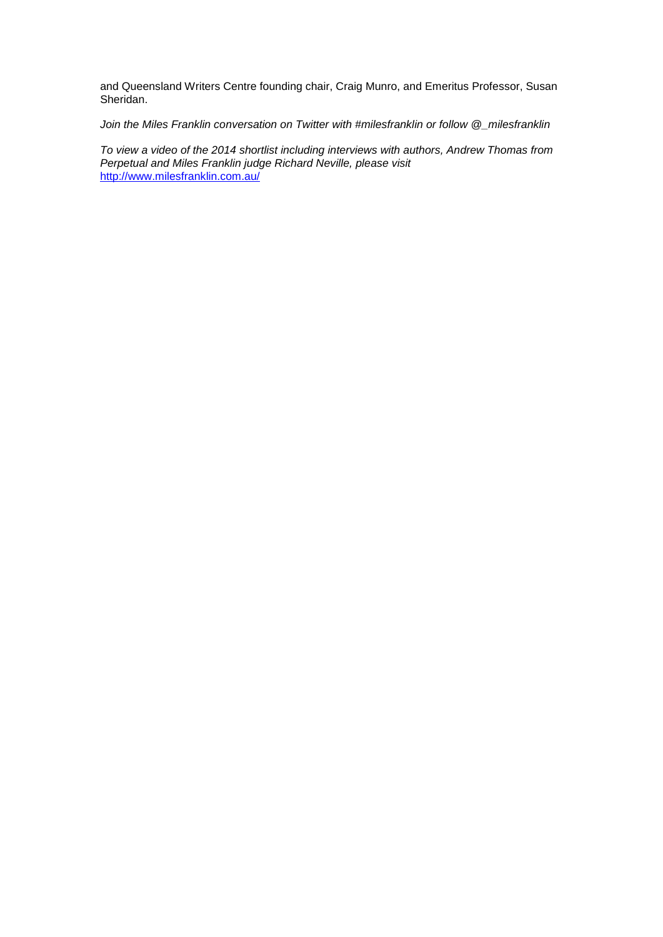and Queensland Writers Centre founding chair, Craig Munro, and Emeritus Professor, Susan Sheridan.

*Join the Miles Franklin conversation on Twitter with #milesfranklin or follow @\_milesfranklin*

*To view a video of the 2014 shortlist including interviews with authors, Andrew Thomas from Perpetual and Miles Franklin judge Richard Neville, please visit* <http://www.milesfranklin.com.au/>